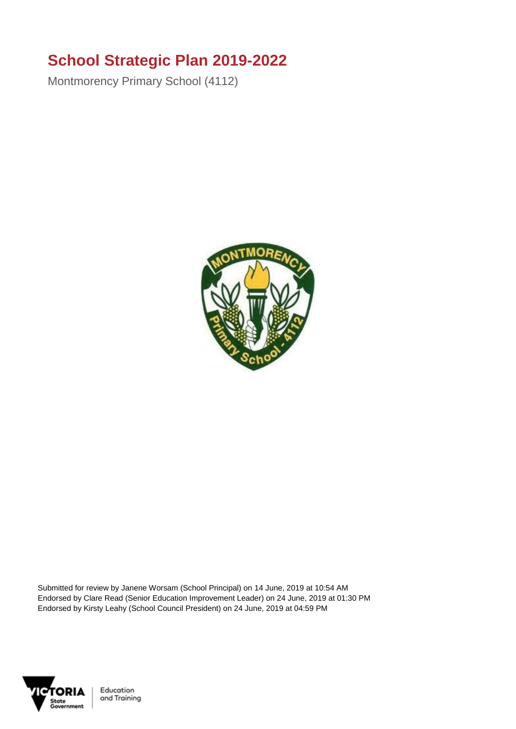## **School Strategic Plan 2019-2022**

Montmorency Primary School (4112)



Submitted for review by Janene Worsam (School Principal) on 14 June, 2019 at 10:54 AM Endorsed by Clare Read (Senior Education Improvement Leader) on 24 June, 2019 at 01:30 PM Endorsed by Kirsty Leahy (School Council President) on 24 June, 2019 at 04:59 PM



Education and Training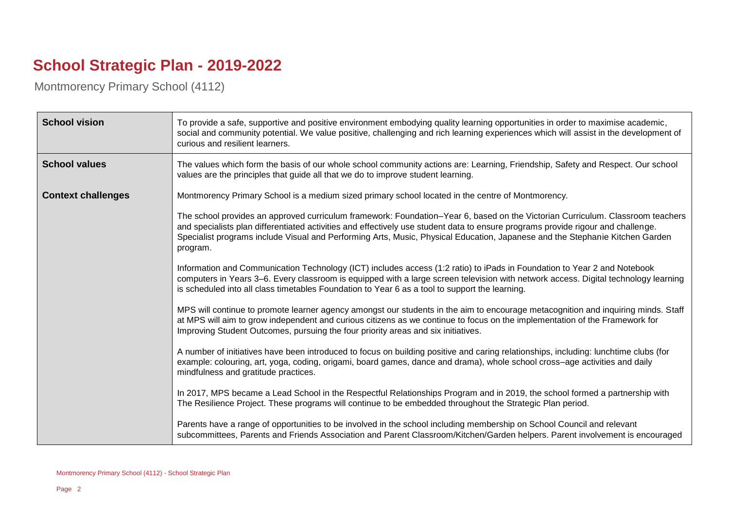## **School Strategic Plan - 2019-2022**

Montmorency Primary School (4112)

| <b>School vision</b>      | To provide a safe, supportive and positive environment embodying quality learning opportunities in order to maximise academic,<br>social and community potential. We value positive, challenging and rich learning experiences which will assist in the development of<br>curious and resilient learners.                                                                                                                                                                                                                                                                                                                                                                                                                                                                                                                                                                                                                                                                                                                                                                                                                                                                                                                                                                                                                                                                                                                                                                                                                                                                                                                                                                                                                                                                                                                                                                                                                             |
|---------------------------|---------------------------------------------------------------------------------------------------------------------------------------------------------------------------------------------------------------------------------------------------------------------------------------------------------------------------------------------------------------------------------------------------------------------------------------------------------------------------------------------------------------------------------------------------------------------------------------------------------------------------------------------------------------------------------------------------------------------------------------------------------------------------------------------------------------------------------------------------------------------------------------------------------------------------------------------------------------------------------------------------------------------------------------------------------------------------------------------------------------------------------------------------------------------------------------------------------------------------------------------------------------------------------------------------------------------------------------------------------------------------------------------------------------------------------------------------------------------------------------------------------------------------------------------------------------------------------------------------------------------------------------------------------------------------------------------------------------------------------------------------------------------------------------------------------------------------------------------------------------------------------------------------------------------------------------|
| <b>School values</b>      | The values which form the basis of our whole school community actions are: Learning, Friendship, Safety and Respect. Our school<br>values are the principles that guide all that we do to improve student learning.                                                                                                                                                                                                                                                                                                                                                                                                                                                                                                                                                                                                                                                                                                                                                                                                                                                                                                                                                                                                                                                                                                                                                                                                                                                                                                                                                                                                                                                                                                                                                                                                                                                                                                                   |
| <b>Context challenges</b> | Montmorency Primary School is a medium sized primary school located in the centre of Montmorency.<br>The school provides an approved curriculum framework: Foundation–Year 6, based on the Victorian Curriculum. Classroom teachers<br>and specialists plan differentiated activities and effectively use student data to ensure programs provide rigour and challenge.<br>Specialist programs include Visual and Performing Arts, Music, Physical Education, Japanese and the Stephanie Kitchen Garden<br>program.<br>Information and Communication Technology (ICT) includes access (1:2 ratio) to iPads in Foundation to Year 2 and Notebook<br>computers in Years 3-6. Every classroom is equipped with a large screen television with network access. Digital technology learning<br>is scheduled into all class timetables Foundation to Year 6 as a tool to support the learning.<br>MPS will continue to promote learner agency amongst our students in the aim to encourage metacognition and inquiring minds. Staff<br>at MPS will aim to grow independent and curious citizens as we continue to focus on the implementation of the Framework for<br>Improving Student Outcomes, pursuing the four priority areas and six initiatives.<br>A number of initiatives have been introduced to focus on building positive and caring relationships, including: lunchtime clubs (for<br>example: colouring, art, yoga, coding, origami, board games, dance and drama), whole school cross–age activities and daily<br>mindfulness and gratitude practices.<br>In 2017, MPS became a Lead School in the Respectful Relationships Program and in 2019, the school formed a partnership with<br>The Resilience Project. These programs will continue to be embedded throughout the Strategic Plan period.<br>Parents have a range of opportunities to be involved in the school including membership on School Council and relevant |
|                           | subcommittees, Parents and Friends Association and Parent Classroom/Kitchen/Garden helpers. Parent involvement is encouraged                                                                                                                                                                                                                                                                                                                                                                                                                                                                                                                                                                                                                                                                                                                                                                                                                                                                                                                                                                                                                                                                                                                                                                                                                                                                                                                                                                                                                                                                                                                                                                                                                                                                                                                                                                                                          |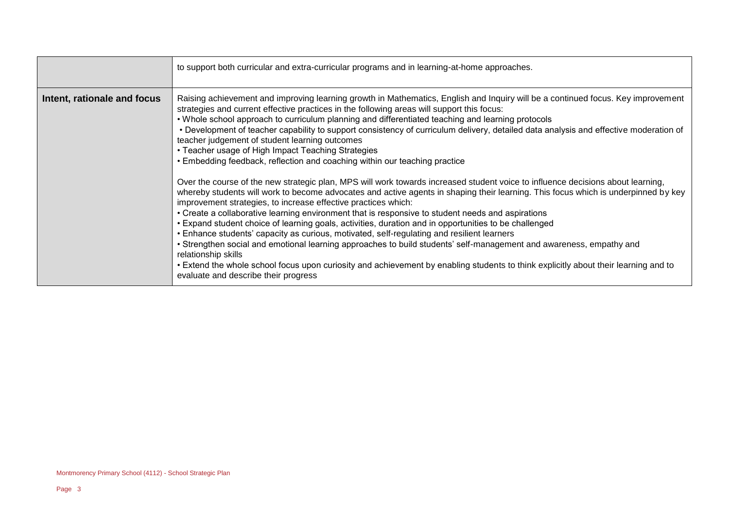|                             | to support both curricular and extra-curricular programs and in learning-at-home approaches.                                                                                                                                                                                                                                                                                                                                                                                                                                                                                                                                                                                                                                                                                                                                                                                                                                                                                                                                                                                                                                                                                                                                                                                                                                                                                                                                                                                                                                                                                                                                                           |
|-----------------------------|--------------------------------------------------------------------------------------------------------------------------------------------------------------------------------------------------------------------------------------------------------------------------------------------------------------------------------------------------------------------------------------------------------------------------------------------------------------------------------------------------------------------------------------------------------------------------------------------------------------------------------------------------------------------------------------------------------------------------------------------------------------------------------------------------------------------------------------------------------------------------------------------------------------------------------------------------------------------------------------------------------------------------------------------------------------------------------------------------------------------------------------------------------------------------------------------------------------------------------------------------------------------------------------------------------------------------------------------------------------------------------------------------------------------------------------------------------------------------------------------------------------------------------------------------------------------------------------------------------------------------------------------------------|
| Intent, rationale and focus | Raising achievement and improving learning growth in Mathematics, English and Inquiry will be a continued focus. Key improvement<br>strategies and current effective practices in the following areas will support this focus:<br>. Whole school approach to curriculum planning and differentiated teaching and learning protocols<br>• Development of teacher capability to support consistency of curriculum delivery, detailed data analysis and effective moderation of<br>teacher judgement of student learning outcomes<br>• Teacher usage of High Impact Teaching Strategies<br>• Embedding feedback, reflection and coaching within our teaching practice<br>Over the course of the new strategic plan, MPS will work towards increased student voice to influence decisions about learning,<br>whereby students will work to become advocates and active agents in shaping their learning. This focus which is underpinned by key<br>improvement strategies, to increase effective practices which:<br>• Create a collaborative learning environment that is responsive to student needs and aspirations<br>• Expand student choice of learning goals, activities, duration and in opportunities to be challenged<br>• Enhance students' capacity as curious, motivated, self-regulating and resilient learners<br>• Strengthen social and emotional learning approaches to build students' self-management and awareness, empathy and<br>relationship skills<br>• Extend the whole school focus upon curiosity and achievement by enabling students to think explicitly about their learning and to<br>evaluate and describe their progress |

 $\overline{\phantom{a}}$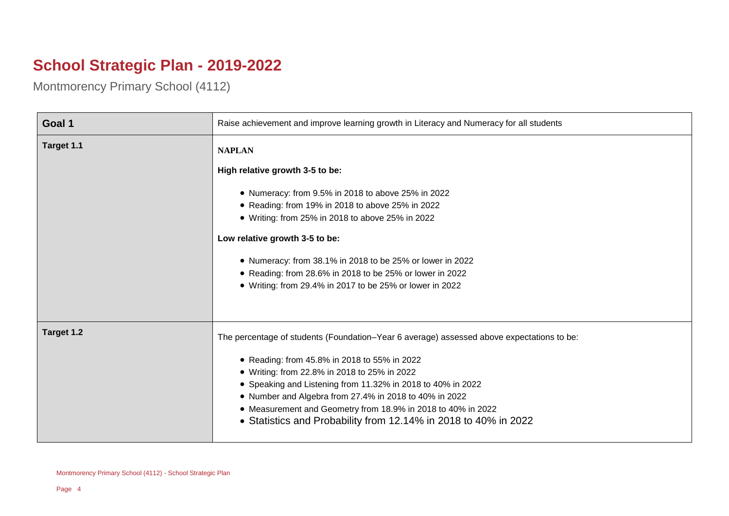## **School Strategic Plan - 2019-2022**

Montmorency Primary School (4112)

 $\overline{ }$ 

| Goal 1     | Raise achievement and improve learning growth in Literacy and Numeracy for all students   |
|------------|-------------------------------------------------------------------------------------------|
| Target 1.1 | <b>NAPLAN</b>                                                                             |
|            | High relative growth 3-5 to be:                                                           |
|            | • Numeracy: from 9.5% in 2018 to above 25% in 2022                                        |
|            | • Reading: from 19% in 2018 to above 25% in 2022                                          |
|            | • Writing: from 25% in 2018 to above 25% in 2022                                          |
|            | Low relative growth 3-5 to be:                                                            |
|            | • Numeracy: from 38.1% in 2018 to be 25% or lower in 2022                                 |
|            | • Reading: from 28.6% in 2018 to be 25% or lower in 2022                                  |
|            | • Writing: from 29.4% in 2017 to be 25% or lower in 2022                                  |
|            |                                                                                           |
| Target 1.2 | The percentage of students (Foundation–Year 6 average) assessed above expectations to be: |
|            | • Reading: from 45.8% in 2018 to 55% in 2022                                              |
|            | • Writing: from 22.8% in 2018 to 25% in 2022                                              |
|            | • Speaking and Listening from 11.32% in 2018 to 40% in 2022                               |
|            | • Number and Algebra from 27.4% in 2018 to 40% in 2022                                    |
|            | • Measurement and Geometry from 18.9% in 2018 to 40% in 2022                              |
|            | • Statistics and Probability from 12.14% in 2018 to 40% in 2022                           |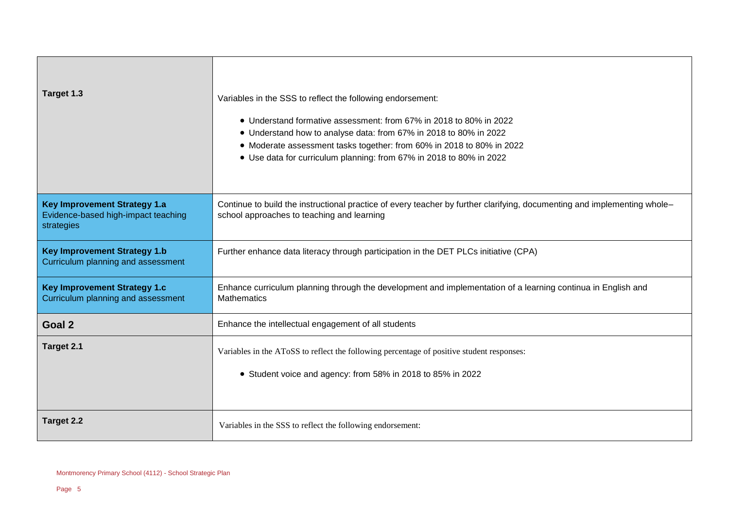| Target 1.3                                                                               | Variables in the SSS to reflect the following endorsement:<br>• Understand formative assessment: from 67% in 2018 to 80% in 2022<br>• Understand how to analyse data: from 67% in 2018 to 80% in 2022<br>• Moderate assessment tasks together: from 60% in 2018 to 80% in 2022<br>• Use data for curriculum planning: from 67% in 2018 to 80% in 2022 |
|------------------------------------------------------------------------------------------|-------------------------------------------------------------------------------------------------------------------------------------------------------------------------------------------------------------------------------------------------------------------------------------------------------------------------------------------------------|
| <b>Key Improvement Strategy 1.a</b><br>Evidence-based high-impact teaching<br>strategies | Continue to build the instructional practice of every teacher by further clarifying, documenting and implementing whole-<br>school approaches to teaching and learning                                                                                                                                                                                |
| <b>Key Improvement Strategy 1.b</b><br>Curriculum planning and assessment                | Further enhance data literacy through participation in the DET PLCs initiative (CPA)                                                                                                                                                                                                                                                                  |
| <b>Key Improvement Strategy 1.c</b><br>Curriculum planning and assessment                | Enhance curriculum planning through the development and implementation of a learning continua in English and<br><b>Mathematics</b>                                                                                                                                                                                                                    |
| Goal 2                                                                                   | Enhance the intellectual engagement of all students                                                                                                                                                                                                                                                                                                   |
| Target 2.1                                                                               | Variables in the AToSS to reflect the following percentage of positive student responses:<br>• Student voice and agency: from 58% in 2018 to 85% in 2022                                                                                                                                                                                              |
| Target 2.2                                                                               | Variables in the SSS to reflect the following endorsement:                                                                                                                                                                                                                                                                                            |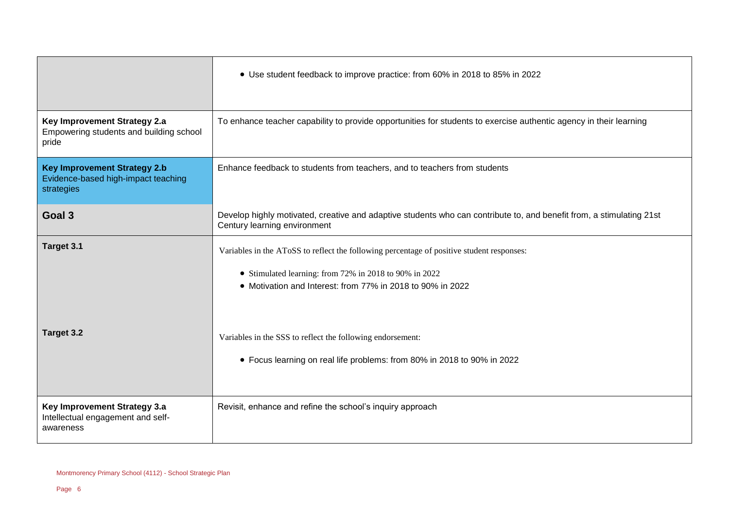|                                                                                          | • Use student feedback to improve practice: from 60% in 2018 to 85% in 2022                                                                                                                                       |
|------------------------------------------------------------------------------------------|-------------------------------------------------------------------------------------------------------------------------------------------------------------------------------------------------------------------|
| Key Improvement Strategy 2.a<br>Empowering students and building school<br>pride         | To enhance teacher capability to provide opportunities for students to exercise authentic agency in their learning                                                                                                |
| <b>Key Improvement Strategy 2.b</b><br>Evidence-based high-impact teaching<br>strategies | Enhance feedback to students from teachers, and to teachers from students                                                                                                                                         |
| Goal 3                                                                                   | Develop highly motivated, creative and adaptive students who can contribute to, and benefit from, a stimulating 21st<br>Century learning environment                                                              |
| Target 3.1                                                                               | Variables in the AToSS to reflect the following percentage of positive student responses:<br>• Stimulated learning: from 72% in 2018 to 90% in 2022<br>• Motivation and Interest: from 77% in 2018 to 90% in 2022 |
| Target 3.2                                                                               | Variables in the SSS to reflect the following endorsement:<br>• Focus learning on real life problems: from 80% in 2018 to 90% in 2022                                                                             |
| Key Improvement Strategy 3.a<br>Intellectual engagement and self-<br>awareness           | Revisit, enhance and refine the school's inquiry approach                                                                                                                                                         |